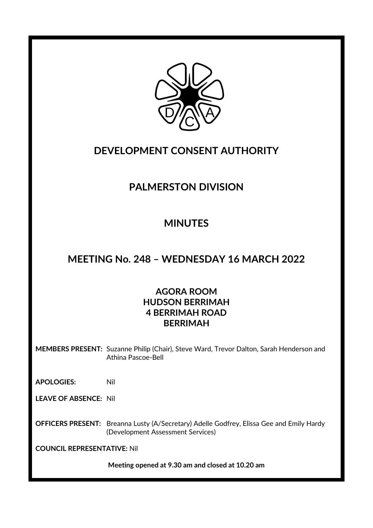

## **DEVELOPMENT CONSENT AUTHORITY**

## **PALMERSTON DIVISION**

## **MINUTES**

## **MEETING No. 248 – WEDNESDAY 16 MARCH 2022**

#### **AGORA ROOM HUDSON BERRIMAH 4 BERRIMAH ROAD BERRIMAH**

**MEMBERS PRESENT:** Suzanne Philip (Chair), Steve Ward, Trevor Dalton, Sarah Henderson and Athina Pascoe-Bell

**APOLOGIES:** Nil

**LEAVE OF ABSENCE:** Nil

**OFFICERS PRESENT:** Breanna Lusty (A/Secretary) Adelle Godfrey, Elissa Gee and Emily Hardy (Development Assessment Services)

**COUNCIL REPRESENTATIVE:** Nil

**Meeting opened at 9.30 am and closed at 10.20 am**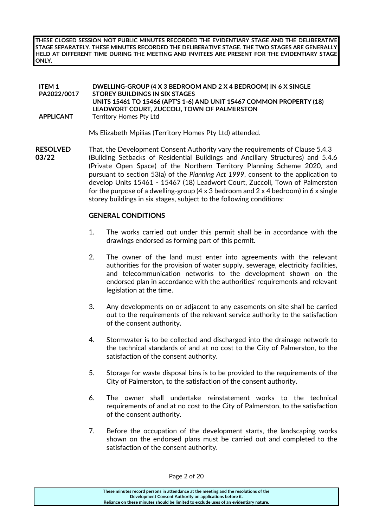**THESE CLOSED SESSION NOT PUBLIC MINUTES RECORDED THE EVIDENTIARY STAGE AND THE DELIBERATIVE STAGE SEPARATELY. THESE MINUTES RECORDED THE DELIBERATIVE STAGE. THE TWO STAGES ARE GENERALLY HELD AT DIFFERENT TIME DURING THE MEETING AND INVITEES ARE PRESENT FOR THE EVIDENTIARY STAGE ONLY.**

#### **ITEM 1 PA2022/0017 DWELLING-GROUP (4 X 3 BEDROOM AND 2 X 4 BEDROOM) IN 6 X SINGLE STOREY BUILDINGS IN SIX STAGES UNITS 15461 TO 15466 (APT'S 1-6) AND UNIT 15467 COMMON PROPERTY (18) LEADWORT COURT, ZUCCOLI, TOWN OF PALMERSTON APPLICANT** Territory Homes Pty Ltd

Ms Elizabeth Mpilias (Territory Homes Pty Ltd) attended.

**RESOLVED** That, the Development Consent Authority vary the requirements of Clause 5.4.3 **03/22** (Building Setbacks of Residential Buildings and Ancillary Structures) and 5.4.6 (Private Open Space) of the Northern Territory Planning Scheme 2020, and pursuant to section 53(a) of the *Planning Act 1999*, consent to the application to develop Units 15461 - 15467 (18) Leadwort Court, Zuccoli, Town of Palmerston for the purpose of a dwelling-group  $(4 \times 3 \text{ bedroom}$  and  $2 \times 4 \text{ bedroom}$ ) in 6 x single storey buildings in six stages, subject to the following conditions:

#### **GENERAL CONDITIONS**

- 1. The works carried out under this permit shall be in accordance with the drawings endorsed as forming part of this permit.
- 2. The owner of the land must enter into agreements with the relevant authorities for the provision of water supply, sewerage, electricity facilities, and telecommunication networks to the development shown on the endorsed plan in accordance with the authorities' requirements and relevant legislation at the time.
- 3. Any developments on or adjacent to any easements on site shall be carried out to the requirements of the relevant service authority to the satisfaction of the consent authority.
- 4. Stormwater is to be collected and discharged into the drainage network to the technical standards of and at no cost to the City of Palmerston, to the satisfaction of the consent authority.
- 5. Storage for waste disposal bins is to be provided to the requirements of the City of Palmerston, to the satisfaction of the consent authority.
- 6. The owner shall undertake reinstatement works to the technical requirements of and at no cost to the City of Palmerston, to the satisfaction of the consent authority.
- 7. Before the occupation of the development starts, the landscaping works shown on the endorsed plans must be carried out and completed to the satisfaction of the consent authority.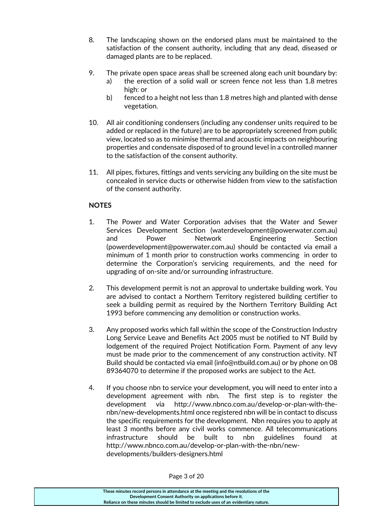- 8. The landscaping shown on the endorsed plans must be maintained to the satisfaction of the consent authority, including that any dead, diseased or damaged plants are to be replaced.
- 9. The private open space areas shall be screened along each unit boundary by:
	- a) the erection of a solid wall or screen fence not less than 1.8 metres high: or
	- b) fenced to a height not less than 1.8 metres high and planted with dense vegetation.
- 10. All air conditioning condensers (including any condenser units required to be added or replaced in the future) are to be appropriately screened from public view, located so as to minimise thermal and acoustic impacts on neighbouring properties and condensate disposed of to ground level in a controlled manner to the satisfaction of the consent authority.
- 11. All pipes, fixtures, fittings and vents servicing any building on the site must be concealed in service ducts or otherwise hidden from view to the satisfaction of the consent authority.

#### **NOTES**

- 1. The Power and Water Corporation advises that the Water and Sewer Services Development Section (waterdevelopment@powerwater.com.au) and Power Network Engineering Section (powerdevelopment@powerwater.com.au) should be contacted via email a minimum of 1 month prior to construction works commencing in order to determine the Corporation's servicing requirements, and the need for upgrading of on-site and/or surrounding infrastructure.
- 2. This development permit is not an approval to undertake building work. You are advised to contact a Northern Territory registered building certifier to seek a building permit as required by the Northern Territory Building Act 1993 before commencing any demolition or construction works.
- 3. Any proposed works which fall within the scope of the Construction Industry Long Service Leave and Benefits Act 2005 must be notified to NT Build by lodgement of the required Project Notification Form. Payment of any levy must be made prior to the commencement of any construction activity. NT Build should be contacted via email (info@ntbuild.com.au) or by phone on 08 89364070 to determine if the proposed works are subject to the Act.
- 4. If you choose nbn to service your development, you will need to enter into a development agreement with nbn. The first step is to register the development via [http://www.nbnco.com.au/develop-or-plan-with-the](http://www.nbnco.com.au/develop-or-plan-with-the-nbn/new-developments.html)[nbn/new-developments.html](http://www.nbnco.com.au/develop-or-plan-with-the-nbn/new-developments.html) once registered nbn will be in contact to discuss the specific requirements for the development. Nbn requires you to apply at least 3 months before any civil works commence. All telecommunications infrastructure should be built to nbn guidelines found at [http://www.nbnco.com.au/develop-or-plan-with-the-nbn/new](http://www.nbnco.com.au/develop-or-plan-with-the-nbn/new-developments/builders-designers.html)[developments/builders-designers.html](http://www.nbnco.com.au/develop-or-plan-with-the-nbn/new-developments/builders-designers.html)

Page 3 of 20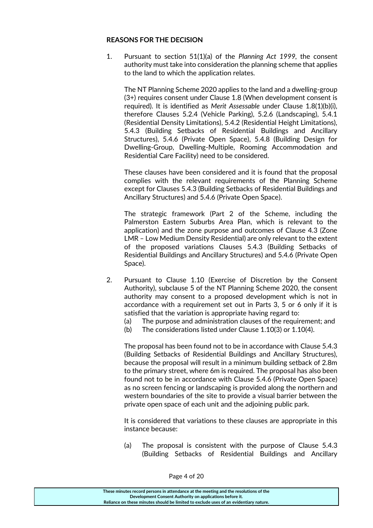#### **REASONS FOR THE DECISION**

1. Pursuant to section 51(1)(a) of the *Planning Act 1999,* the consent authority must take into consideration the planning scheme that applies to the land to which the application relates.

The NT Planning Scheme 2020 applies to the land and a dwelling-group (3+) requires consent under Clause 1.8 (When development consent is required). It is identified as *Merit Assessable* under Clause 1.8(1)(b)(i), therefore Clauses 5.2.4 (Vehicle Parking), 5.2.6 (Landscaping), 5.4.1 (Residential Density Limitations), 5.4.2 (Residential Height Limitations), 5.4.3 (Building Setbacks of Residential Buildings and Ancillary Structures), 5.4.6 (Private Open Space), 5.4.8 (Building Design for Dwelling-Group, Dwelling-Multiple, Rooming Accommodation and Residential Care Facility) need to be considered.

These clauses have been considered and it is found that the proposal complies with the relevant requirements of the Planning Scheme except for Clauses 5.4.3 (Building Setbacks of Residential Buildings and Ancillary Structures) and 5.4.6 (Private Open Space).

The strategic framework (Part 2 of the Scheme, including the Palmerston Eastern Suburbs Area Plan, which is relevant to the application) and the zone purpose and outcomes of Clause 4.3 (Zone LMR – Low Medium Density Residential) are only relevant to the extent of the proposed variations Clauses 5.4.3 (Building Setbacks of Residential Buildings and Ancillary Structures) and 5.4.6 (Private Open Space).

- 2. Pursuant to Clause 1.10 (Exercise of Discretion by the Consent Authority), subclause 5 of the NT Planning Scheme 2020, the consent authority may consent to a proposed development which is not in accordance with a requirement set out in Parts 3, 5 or 6 only if it is satisfied that the variation is appropriate having regard to:
	- (a) The purpose and administration clauses of the requirement; and
	- (b) The considerations listed under Clause 1.10(3) or 1.10(4).

The proposal has been found not to be in accordance with Clause 5.4.3 (Building Setbacks of Residential Buildings and Ancillary Structures), because the proposal will result in a minimum building setback of 2.8m to the primary street, where 6m is required. The proposal has also been found not to be in accordance with Clause 5.4.6 (Private Open Space) as no screen fencing or landscaping is provided along the northern and western boundaries of the site to provide a visual barrier between the private open space of each unit and the adjoining public park.

It is considered that variations to these clauses are appropriate in this instance because:

(a) The proposal is consistent with the purpose of Clause 5.4.3 (Building Setbacks of Residential Buildings and Ancillary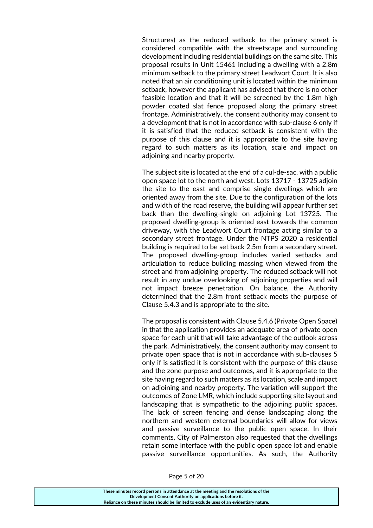Structures) as the reduced setback to the primary street is considered compatible with the streetscape and surrounding development including residential buildings on the same site. This proposal results in Unit 15461 including a dwelling with a 2.8m minimum setback to the primary street Leadwort Court. It is also noted that an air conditioning unit is located within the minimum setback, however the applicant has advised that there is no other feasible location and that it will be screened by the 1.8m high powder coated slat fence proposed along the primary street frontage. Administratively, the consent authority may consent to a development that is not in accordance with sub-clause 6 only if it is satisfied that the reduced setback is consistent with the purpose of this clause and it is appropriate to the site having regard to such matters as its location, scale and impact on adjoining and nearby property.

The subject site is located at the end of a cul-de-sac, with a public open space lot to the north and west. Lots 13717 - 13725 adjoin the site to the east and comprise single dwellings which are oriented away from the site. Due to the configuration of the lots and width of the road reserve, the building will appear further set back than the dwelling-single on adjoining Lot 13725. The proposed dwelling-group is oriented east towards the common driveway, with the Leadwort Court frontage acting similar to a secondary street frontage. Under the NTPS 2020 a residential building is required to be set back 2.5m from a secondary street. The proposed dwelling-group includes varied setbacks and articulation to reduce building massing when viewed from the street and from adjoining property. The reduced setback will not result in any undue overlooking of adjoining properties and will not impact breeze penetration. On balance, the Authority determined that the 2.8m front setback meets the purpose of Clause 5.4.3 and is appropriate to the site.

The proposal is consistent with Clause 5.4.6 (Private Open Space) in that the application provides an adequate area of private open space for each unit that will take advantage of the outlook across the park. Administratively, the consent authority may consent to private open space that is not in accordance with sub-clauses 5 only if is satisfied it is consistent with the purpose of this clause and the zone purpose and outcomes, and it is appropriate to the site having regard to such matters as its location, scale and impact on adjoining and nearby property. The variation will support the outcomes of Zone LMR, which include supporting site layout and landscaping that is sympathetic to the adjoining public spaces. The lack of screen fencing and dense landscaping along the northern and western external boundaries will allow for views and passive surveillance to the public open space. In their comments, City of Palmerston also requested that the dwellings retain some interface with the public open space lot and enable passive surveillance opportunities. As such, the Authority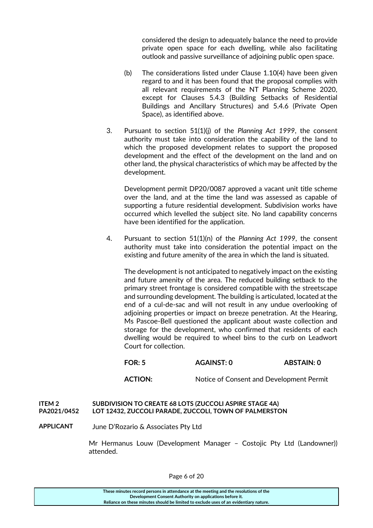considered the design to adequately balance the need to provide private open space for each dwelling, while also facilitating outlook and passive surveillance of adjoining public open space.

- (b) The considerations listed under Clause 1.10(4) have been given regard to and it has been found that the proposal complies with all relevant requirements of the NT Planning Scheme 2020, except for Clauses 5.4.3 (Building Setbacks of Residential Buildings and Ancillary Structures) and 5.4.6 (Private Open Space), as identified above.
- 3. Pursuant to section 51(1)(j) of the *Planning Act 1999*, the consent authority must take into consideration the capability of the land to which the proposed development relates to support the proposed development and the effect of the development on the land and on other land, the physical characteristics of which may be affected by the development.

Development permit DP20/0087 approved a vacant unit title scheme over the land, and at the time the land was assessed as capable of supporting a future residential development. Subdivision works have occurred which levelled the subject site. No land capability concerns have been identified for the application.

4. Pursuant to section 51(1)(n) of the *Planning Act 1999*, the consent authority must take into consideration the potential impact on the existing and future amenity of the area in which the land is situated.

The development is not anticipated to negatively impact on the existing and future amenity of the area. The reduced building setback to the primary street frontage is considered compatible with the streetscape and surrounding development. The building is articulated, located at the end of a cul-de-sac and will not result in any undue overlooking of adjoining properties or impact on breeze penetration. At the Hearing, Ms Pascoe-Bell questioned the applicant about waste collection and storage for the development, who confirmed that residents of each dwelling would be required to wheel bins to the curb on Leadwort Court for collection.

**FOR: 5 AGAINST: 0 ABSTAIN: 0**

**ACTION:** Notice of Consent and Development Permit

#### **ITEM 2 SUBDIVISION TO CREATE 68 LOTS (ZUCCOLI ASPIRE STAGE 4A) PA2021/0452 LOT 12432, ZUCCOLI PARADE, ZUCCOLI, TOWN OF PALMERSTON**

**APPLICANT** June D'Rozario & Associates Pty Ltd

Mr Hermanus Louw (Development Manager – Costojic Pty Ltd (Landowner)) attended.

| These minutes record persons in attendance at the meeting and the resolutions of the  |
|---------------------------------------------------------------------------------------|
| Development Consent Authority on applications before it.                              |
| Reliance on these minutes should be limited to exclude uses of an evidentiary nature. |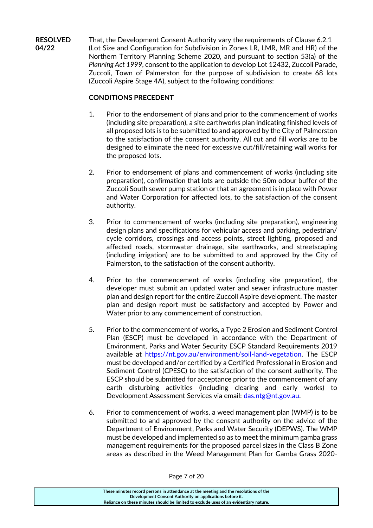**RESOLVED** That, the Development Consent Authority vary the requirements of Clause 6.2.1 **04/22** (Lot Size and Configuration for Subdivision in Zones LR, LMR, MR and HR) of the Northern Territory Planning Scheme 2020, and pursuant to section 53(a) of the *Planning Act 1999*, consent to the application to develop Lot 12432, Zuccoli Parade, Zuccoli, Town of Palmerston for the purpose of subdivision to create 68 lots (Zuccoli Aspire Stage 4A), subject to the following conditions:

#### **CONDITIONS PRECEDENT**

- 1. Prior to the endorsement of plans and prior to the commencement of works (including site preparation), a site earthworks plan indicating finished levels of all proposed lots is to be submitted to and approved by the City of Palmerston to the satisfaction of the consent authority. All cut and fill works are to be designed to eliminate the need for excessive cut/fill/retaining wall works for the proposed lots.
- 2. Prior to endorsement of plans and commencement of works (including site preparation), confirmation that lots are outside the 50m odour buffer of the Zuccoli South sewer pump station or that an agreement is in place with Power and Water Corporation for affected lots, to the satisfaction of the consent authority.
- 3. Prior to commencement of works (including site preparation), engineering design plans and specifications for vehicular access and parking, pedestrian/ cycle corridors, crossings and access points, street lighting, proposed and affected roads, stormwater drainage, site earthworks, and streetscaping (including irrigation) are to be submitted to and approved by the City of Palmerston, to the satisfaction of the consent authority.
- 4. Prior to the commencement of works (including site preparation), the developer must submit an updated water and sewer infrastructure master plan and design report for the entire Zuccoli Aspire development. The master plan and design report must be satisfactory and accepted by Power and Water prior to any commencement of construction.
- 5. Prior to the commencement of works, a Type 2 Erosion and Sediment Control Plan (ESCP) must be developed in accordance with the Department of Environment, Parks and Water Security ESCP Standard Requirements 2019 available at [https://nt.gov.au/environment/soil-land-vegetation.](https://nt.gov.au/environment/soil-land-vegetation) The ESCP must be developed and/or certified by a Certified Professional in Erosion and Sediment Control (CPESC) to the satisfaction of the consent authority. The ESCP should be submitted for acceptance prior to the commencement of any earth disturbing activities (including clearing and early works) to Development Assessment Services via email: [das.ntg@nt.gov.au.](mailto:das.ntg@nt.gov.au)
- 6. Prior to commencement of works, a weed management plan (WMP) is to be submitted to and approved by the consent authority on the advice of the Department of Environment, Parks and Water Security (DEPWS). The WMP must be developed and implemented so as to meet the minimum gamba grass management requirements for the proposed parcel sizes in the Class B Zone areas as described in the Weed Management Plan for Gamba Grass 2020-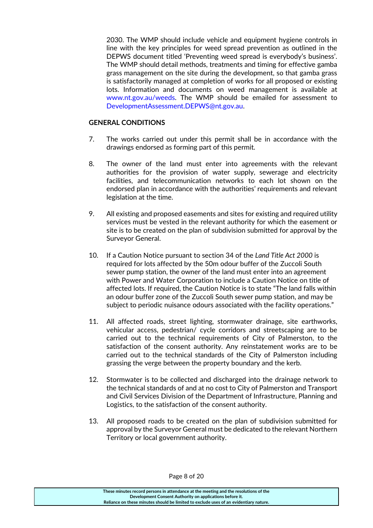2030. The WMP should include vehicle and equipment hygiene controls in line with the key principles for weed spread prevention as outlined in the DEPWS document titled 'Preventing weed spread is everybody's business'. The WMP should detail methods, treatments and timing for effective gamba grass management on the site during the development, so that gamba grass is satisfactorily managed at completion of works for all proposed or existing lots. Information and documents on weed management is available at [www.nt.gov.au/weeds.](http://www.nt.gov.au/weeds) The WMP should be emailed for assessment to [DevelopmentAssessment.DEPWS@nt.gov.au.](mailto:DevelopmentAssessment.DEPWS@nt.gov.au)

#### **GENERAL CONDITIONS**

- 7. The works carried out under this permit shall be in accordance with the drawings endorsed as forming part of this permit.
- 8. The owner of the land must enter into agreements with the relevant authorities for the provision of water supply, sewerage and electricity facilities, and telecommunication networks to each lot shown on the endorsed plan in accordance with the authorities' requirements and relevant legislation at the time.
- 9. All existing and proposed easements and sites for existing and required utility services must be vested in the relevant authority for which the easement or site is to be created on the plan of subdivision submitted for approval by the Surveyor General.
- 10. If a Caution Notice pursuant to section 34 of the *Land Title Act 2000* is required for lots affected by the 50m odour buffer of the Zuccoli South sewer pump station, the owner of the land must enter into an agreement with Power and Water Corporation to include a Caution Notice on title of affected lots. If required, the Caution Notice is to state "The land falls within an odour buffer zone of the Zuccoli South sewer pump station, and may be subject to periodic nuisance odours associated with the facility operations."
- 11. All affected roads, street lighting, stormwater drainage, site earthworks, vehicular access, pedestrian/ cycle corridors and streetscaping are to be carried out to the technical requirements of City of Palmerston, to the satisfaction of the consent authority. Any reinstatement works are to be carried out to the technical standards of the City of Palmerston including grassing the verge between the property boundary and the kerb.
- 12. Stormwater is to be collected and discharged into the drainage network to the technical standards of and at no cost to City of Palmerston and Transport and Civil Services Division of the Department of Infrastructure, Planning and Logistics, to the satisfaction of the consent authority.
- 13. All proposed roads to be created on the plan of subdivision submitted for approval by the Surveyor General must be dedicated to the relevant Northern Territory or local government authority.

Page 8 of 20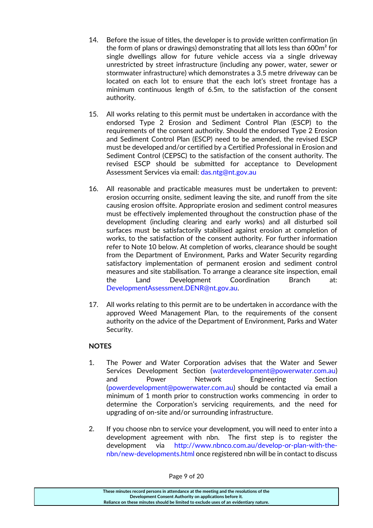- 14. Before the issue of titles, the developer is to provide written confirmation (in the form of plans or drawings) demonstrating that all lots less than 600m² for single dwellings allow for future vehicle access via a single driveway unrestricted by street infrastructure (including any power, water, sewer or stormwater infrastructure) which demonstrates a 3.5 metre driveway can be located on each lot to ensure that the each lot's street frontage has a minimum continuous length of 6.5m, to the satisfaction of the consent authority.
- 15. All works relating to this permit must be undertaken in accordance with the endorsed Type 2 Erosion and Sediment Control Plan (ESCP) to the requirements of the consent authority. Should the endorsed Type 2 Erosion and Sediment Control Plan (ESCP) need to be amended, the revised ESCP must be developed and/or certified by a Certified Professional in Erosion and Sediment Control (CEPSC) to the satisfaction of the consent authority. The revised ESCP should be submitted for acceptance to Development Assessment Services via email: [das.ntg@nt.gov.au](mailto:das.ntg@nt.gov.au)
- 16. All reasonable and practicable measures must be undertaken to prevent: erosion occurring onsite, sediment leaving the site, and runoff from the site causing erosion offsite. Appropriate erosion and sediment control measures must be effectively implemented throughout the construction phase of the development (including clearing and early works) and all disturbed soil surfaces must be satisfactorily stabilised against erosion at completion of works, to the satisfaction of the consent authority. For further information refer to Note 10 below. At completion of works, clearance should be sought from the Department of Environment, Parks and Water Security regarding satisfactory implementation of permanent erosion and sediment control measures and site stabilisation. To arrange a clearance site inspection, email the Land Development Coordination Branch at: [DevelopmentAssessment.DENR@nt.gov.au.](mailto:DevelopmentAssessment.DENR@nt.gov.au)
- 17. All works relating to this permit are to be undertaken in accordance with the approved Weed Management Plan, to the requirements of the consent authority on the advice of the Department of Environment, Parks and Water Security.

#### **NOTES**

- 1. The Power and Water Corporation advises that the Water and Sewer Services Development Section [\(waterdevelopment@powerwater.com.au\)](mailto:waterdevelopment@powerwater.com.au) and Power Network Engineering Section [\(powerdevelopment@powerwater.com.au\)](mailto:powerdevelopment@powerwater.com.au) should be contacted via email a minimum of 1 month prior to construction works commencing in order to determine the Corporation's servicing requirements, and the need for upgrading of on-site and/or surrounding infrastructure.
- 2. If you choose nbn to service your development, you will need to enter into a development agreement with nbn. The first step is to register the development via [http://www.nbnco.com.au/develop-or-plan-with-the](http://www.nbnco.com.au/develop-or-plan-with-the-nbn/new-developments.html)[nbn/new-developments.html](http://www.nbnco.com.au/develop-or-plan-with-the-nbn/new-developments.html) once registered nbn will be in contact to discuss

**These minutes record persons in attendance at the meeting and the resolutions of the Development Consent Authority on applications before it. Reliance on these minutes should be limited to exclude uses of an evidentiary nature.**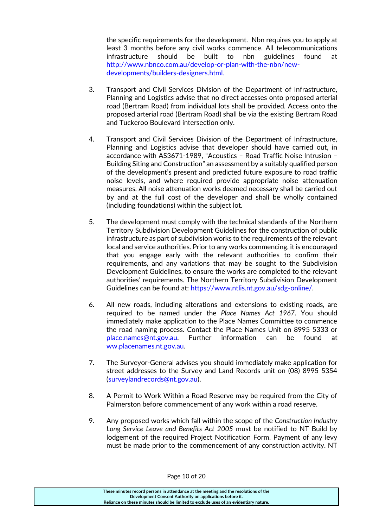the specific requirements for the development. Nbn requires you to apply at least 3 months before any civil works commence. All telecommunications infrastructure should be built to nbn guidelines found at [http://www.nbnco.com.au/develop-or-plan-with-the-nbn/new](http://www.nbnco.com.au/develop-or-plan-with-the-nbn/new-developments/builders-designers.html)[developments/builders-designers.html.](http://www.nbnco.com.au/develop-or-plan-with-the-nbn/new-developments/builders-designers.html)

- 3. Transport and Civil Services Division of the Department of Infrastructure, Planning and Logistics advise that no direct accesses onto proposed arterial road (Bertram Road) from individual lots shall be provided. Access onto the proposed arterial road (Bertram Road) shall be via the existing Bertram Road and Tuckeroo Boulevard intersection only.
- 4. Transport and Civil Services Division of the Department of Infrastructure, Planning and Logistics advise that developer should have carried out, in accordance with AS3671-1989, "Acoustics – Road Traffic Noise Intrusion – Building Siting and Construction" an assessment by a suitably qualified person of the development's present and predicted future exposure to road traffic noise levels, and where required provide appropriate noise attenuation measures. All noise attenuation works deemed necessary shall be carried out by and at the full cost of the developer and shall be wholly contained (including foundations) within the subject lot.
- 5. The development must comply with the technical standards of the Northern Territory Subdivision Development Guidelines for the construction of public infrastructure as part of subdivision works to the requirements of the relevant local and service authorities. Prior to any works commencing, it is encouraged that you engage early with the relevant authorities to confirm their requirements, and any variations that may be sought to the Subdivision Development Guidelines, to ensure the works are completed to the relevant authorities' requirements. The Northern Territory Subdivision Development Guidelines can be found at: [https://www.ntlis.nt.gov.au/sdg-online/.](https://www.ntlis.nt.gov.au/sdg-online/)
- 6. All new roads, including alterations and extensions to existing roads, are required to be named under the *Place Names Act 1967*. You should immediately make application to the Place Names Committee to commence the road naming process. Contact the Place Names Unit on 8995 5333 or [place.names@nt.gov.au.](mailto:place.names@nt.gov.au) Further information can be found at [ww.placenames.nt.gov.au.](http://www.placenames.nt.gov.au/)
- 7. The Surveyor-General advises you should immediately make application for street addresses to the Survey and Land Records unit on (08) 8995 5354 [\(surveylandrecords@nt.gov.au\)](mailto:surveylandrecords@nt.gov.au).
- 8. A Permit to Work Within a Road Reserve may be required from the City of Palmerston before commencement of any work within a road reserve.
- 9. Any proposed works which fall within the scope of the *Construction Industry Long Service Leave and Benefits Act 2005* must be notified to NT Build by lodgement of the required Project Notification Form. Payment of any levy must be made prior to the commencement of any construction activity. NT

**These minutes record persons in attendance at the meeting and the resolutions of the Development Consent Authority on applications before it. Reliance on these minutes should be limited to exclude uses of an evidentiary nature.**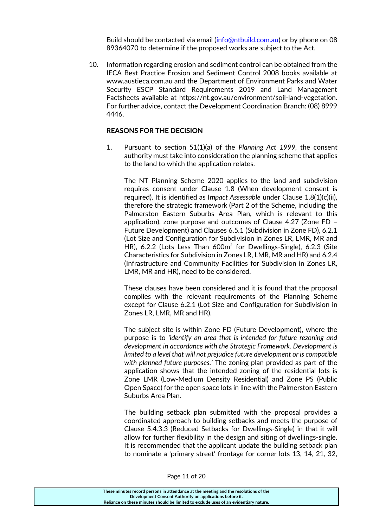Build should be contacted via email [\(info@ntbuild.com.au\)](mailto:info@ntbuild.com.au) or by phone on 08 89364070 to determine if the proposed works are subject to the Act.

10. Information regarding erosion and sediment control can be obtained from the IECA Best Practice Erosion and Sediment Control 2008 books available at www.austieca.com.au and the Department of Environment Parks and Water Security ESCP Standard Requirements 2019 and Land Management Factsheets available at https://nt.gov.au/environment/soil-land-vegetation. For further advice, contact the Development Coordination Branch: (08) 8999 4446.

#### **REASONS FOR THE DECISION**

1. Pursuant to section 51(1)(a) of the *Planning Act 1999,* the consent authority must take into consideration the planning scheme that applies to the land to which the application relates.

The NT Planning Scheme 2020 applies to the land and subdivision requires consent under Clause 1.8 (When development consent is required). It is identified as I*mpact Assessable* under Clause 1.8(1)(c)(ii), therefore the strategic framework (Part 2 of the Scheme, including the Palmerston Eastern Suburbs Area Plan, which is relevant to this application), zone purpose and outcomes of Clause 4.27 (Zone FD – Future Development) and Clauses 6.5.1 (Subdivision in Zone FD), 6.2.1 (Lot Size and Configuration for Subdivision in Zones LR, LMR, MR and HR), 6.2.2 (Lots Less Than 600m² for Dwellings-Single), 6.2.3 (Site Characteristics for Subdivision in Zones LR, LMR, MR and HR) and 6.2.4 (Infrastructure and Community Facilities for Subdivision in Zones LR, LMR, MR and HR), need to be considered.

These clauses have been considered and it is found that the proposal complies with the relevant requirements of the Planning Scheme except for Clause 6.2.1 (Lot Size and Configuration for Subdivision in Zones LR, LMR, MR and HR).

The subject site is within Zone FD (Future Development), where the purpose is to *'identify an area that is intended for future rezoning and development in accordance with the Strategic Framework. Development is limited to a level that will not prejudice future development or is compatible with planned future purposes.'* The zoning plan provided as part of the application shows that the intended zoning of the residential lots is Zone LMR (Low-Medium Density Residential) and Zone PS (Public Open Space) for the open space lots in line with the Palmerston Eastern Suburbs Area Plan.

The building setback plan submitted with the proposal provides a coordinated approach to building setbacks and meets the purpose of Clause 5.4.3.3 (Reduced Setbacks for Dwellings-Single) in that it will allow for further flexibility in the design and siting of dwellings-single. It is recommended that the applicant update the building setback plan to nominate a 'primary street' frontage for corner lots 13, 14, 21, 32,

**These minutes record persons in attendance at the meeting and the resolutions of the Development Consent Authority on applications before it. Reliance on these minutes should be limited to exclude uses of an evidentiary nature.**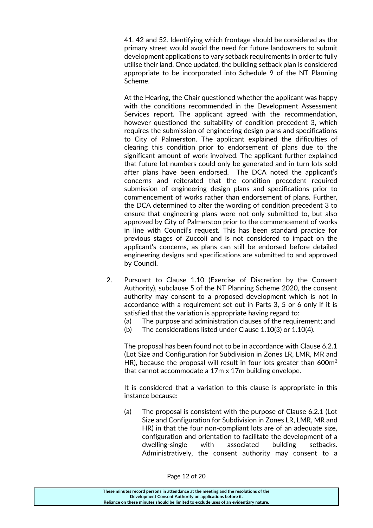41, 42 and 52. Identifying which frontage should be considered as the primary street would avoid the need for future landowners to submit development applications to vary setback requirements in order to fully utilise their land. Once updated, the building setback plan is considered appropriate to be incorporated into Schedule 9 of the NT Planning Scheme.

At the Hearing, the Chair questioned whether the applicant was happy with the conditions recommended in the Development Assessment Services report. The applicant agreed with the recommendation, however questioned the suitability of condition precedent 3, which requires the submission of engineering design plans and specifications to City of Palmerston. The applicant explained the difficulties of clearing this condition prior to endorsement of plans due to the significant amount of work involved. The applicant further explained that future lot numbers could only be generated and in turn lots sold after plans have been endorsed. The DCA noted the applicant's concerns and reiterated that the condition precedent required submission of engineering design plans and specifications prior to commencement of works rather than endorsement of plans. Further, the DCA determined to alter the wording of condition precedent 3 to ensure that engineering plans were not only submitted to, but also approved by City of Palmerston prior to the commencement of works in line with Council's request. This has been standard practice for previous stages of Zuccoli and is not considered to impact on the applicant's concerns, as plans can still be endorsed before detailed engineering designs and specifications are submitted to and approved by Council.

- 2. Pursuant to Clause 1.10 (Exercise of Discretion by the Consent Authority), subclause 5 of the NT Planning Scheme 2020, the consent authority may consent to a proposed development which is not in accordance with a requirement set out in Parts 3, 5 or 6 only if it is satisfied that the variation is appropriate having regard to:
	- (a) The purpose and administration clauses of the requirement; and
	- (b) The considerations listed under Clause 1.10(3) or 1.10(4).

The proposal has been found not to be in accordance with Clause 6.2.1 (Lot Size and Configuration for Subdivision in Zones LR, LMR, MR and HR), because the proposal will result in four lots greater than  $600m^2$ that cannot accommodate a 17m x 17m building envelope.

It is considered that a variation to this clause is appropriate in this instance because:

(a) The proposal is consistent with the purpose of Clause 6.2.1 (Lot Size and Configuration for Subdivision in Zones LR, LMR, MR and HR) in that the four non-compliant lots are of an adequate size, configuration and orientation to facilitate the development of a dwelling-single with associated building setbacks. Administratively, the consent authority may consent to a

| These minutes record persons in attendance at the meeting and the resolutions of the  |
|---------------------------------------------------------------------------------------|
| Development Consent Authority on applications before it.                              |
| Reliance on these minutes should be limited to exclude uses of an evidentiary nature. |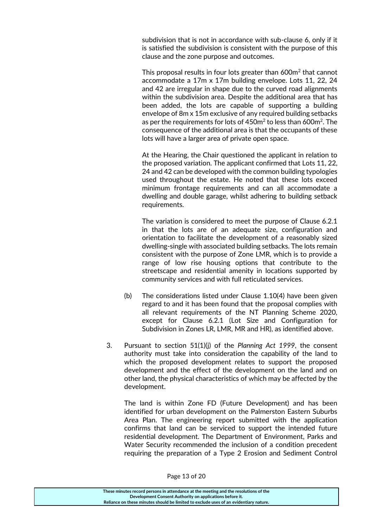subdivision that is not in accordance with sub-clause 6, only if it is satisfied the subdivision is consistent with the purpose of this clause and the zone purpose and outcomes.

This proposal results in four lots greater than  $600m^2$  that cannot accommodate a 17m x 17m building envelope. Lots 11, 22, 24 and 42 are irregular in shape due to the curved road alignments within the subdivision area. Despite the additional area that has been added, the lots are capable of supporting a building envelope of 8m x 15m exclusive of any required building setbacks as per the requirements for lots of  $450m^2$  to less than 600 $m^2$ . The consequence of the additional area is that the occupants of these lots will have a larger area of private open space.

At the Hearing, the Chair questioned the applicant in relation to the proposed variation. The applicant confirmed that Lots 11, 22, 24 and 42 can be developed with the common building typologies used throughout the estate. He noted that these lots exceed minimum frontage requirements and can all accommodate a dwelling and double garage, whilst adhering to building setback requirements.

The variation is considered to meet the purpose of Clause 6.2.1 in that the lots are of an adequate size, configuration and orientation to facilitate the development of a reasonably sized dwelling-single with associated building setbacks. The lots remain consistent with the purpose of Zone LMR, which is to provide a range of low rise housing options that contribute to the streetscape and residential amenity in locations supported by community services and with full reticulated services.

- (b) The considerations listed under Clause 1.10(4) have been given regard to and it has been found that the proposal complies with all relevant requirements of the NT Planning Scheme 2020, except for Clause 6.2.1 (Lot Size and Configuration for Subdivision in Zones LR, LMR, MR and HR), as identified above.
- 3. Pursuant to section 51(1)(j) of the *Planning Act 1999*, the consent authority must take into consideration the capability of the land to which the proposed development relates to support the proposed development and the effect of the development on the land and on other land, the physical characteristics of which may be affected by the development.

The land is within Zone FD (Future Development) and has been identified for urban development on the Palmerston Eastern Suburbs Area Plan. The engineering report submitted with the application confirms that land can be serviced to support the intended future residential development. The Department of Environment, Parks and Water Security recommended the inclusion of a condition precedent requiring the preparation of a Type 2 Erosion and Sediment Control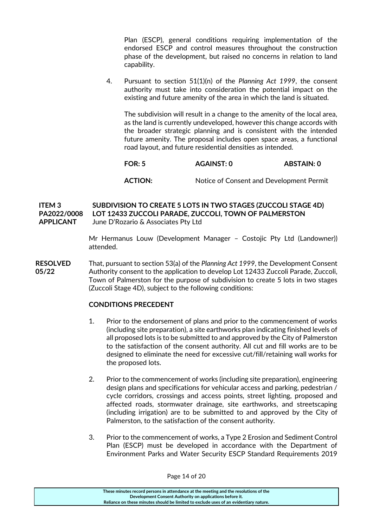Plan (ESCP), general conditions requiring implementation of the endorsed ESCP and control measures throughout the construction phase of the development, but raised no concerns in relation to land capability.

4. Pursuant to section 51(1)(n) of the *Planning Act 1999*, the consent authority must take into consideration the potential impact on the existing and future amenity of the area in which the land is situated.

The subdivision will result in a change to the amenity of the local area, as the land is currently undeveloped, however this change accords with the broader strategic planning and is consistent with the intended future amenity. The proposal includes open space areas, a functional road layout, and future residential densities as intended.

### **FOR: 5 AGAINST: 0 ABSTAIN: 0**

**ACTION:** Notice of Consent and Development Permit

**ITEM 3 SUBDIVISION TO CREATE 5 LOTS IN TWO STAGES (ZUCCOLI STAGE 4D) PA2022/0008 LOT 12433 ZUCCOLI PARADE, ZUCCOLI, TOWN OF PALMERSTON APPLICANT** June D'Rozario & Associates Pty Ltd

> Mr Hermanus Louw (Development Manager – Costojic Pty Ltd (Landowner)) attended.

**RESOLVED** That, pursuant to section 53(a) of the *Planning Act 1999*, the Development Consent **05/22** Authority consent to the application to develop Lot 12433 Zuccoli Parade, Zuccoli, Town of Palmerston for the purpose of subdivision to create 5 lots in two stages (Zuccoli Stage 4D), subject to the following conditions:

#### **CONDITIONS PRECEDENT**

- 1. Prior to the endorsement of plans and prior to the commencement of works (including site preparation), a site earthworks plan indicating finished levels of all proposed lots is to be submitted to and approved by the City of Palmerston to the satisfaction of the consent authority. All cut and fill works are to be designed to eliminate the need for excessive cut/fill/retaining wall works for the proposed lots.
- 2. Prior to the commencement of works (including site preparation), engineering design plans and specifications for vehicular access and parking, pedestrian / cycle corridors, crossings and access points, street lighting, proposed and affected roads, stormwater drainage, site earthworks, and streetscaping (including irrigation) are to be submitted to and approved by the City of Palmerston, to the satisfaction of the consent authority.
- 3. Prior to the commencement of works, a Type 2 Erosion and Sediment Control Plan (ESCP) must be developed in accordance with the Department of Environment Parks and Water Security ESCP Standard Requirements 2019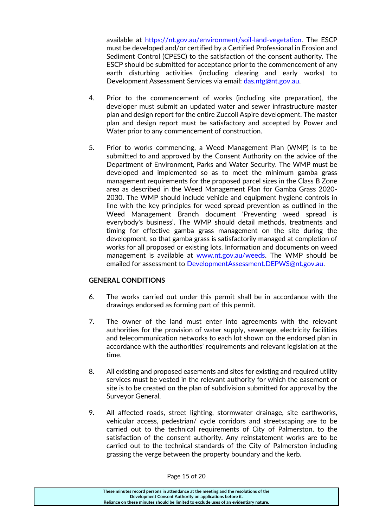available at [https://nt.gov.au/environment/soil-land-vegetation.](https://nt.gov.au/environment/soil-land-vegetation) The ESCP must be developed and/or certified by a Certified Professional in Erosion and Sediment Control (CPESC) to the satisfaction of the consent authority. The ESCP should be submitted for acceptance prior to the commencement of any earth disturbing activities (including clearing and early works) to Development Assessment Services via email: [das.ntg@nt.gov.au.](mailto:das.ntg@nt.gov.au)

- 4. Prior to the commencement of works (including site preparation), the developer must submit an updated water and sewer infrastructure master plan and design report for the entire Zuccoli Aspire development. The master plan and design report must be satisfactory and accepted by Power and Water prior to any commencement of construction.
- 5. Prior to works commencing, a Weed Management Plan (WMP) is to be submitted to and approved by the Consent Authority on the advice of the Department of Environment, Parks and Water Security. The WMP must be developed and implemented so as to meet the minimum gamba grass management requirements for the proposed parcel sizes in the Class B Zone area as described in the Weed Management Plan for Gamba Grass 2020- 2030. The WMP should include vehicle and equipment hygiene controls in line with the key principles for weed spread prevention as outlined in the Weed Management Branch document 'Preventing weed spread is everybody's business'. The WMP should detail methods, treatments and timing for effective gamba grass management on the site during the development, so that gamba grass is satisfactorily managed at completion of works for all proposed or existing lots. Information and documents on weed management is available at [www.nt.gov.au/weeds.](http://www.nt.gov.au/weeds) The WMP should be emailed for assessment to [DevelopmentAssessment.DEPWS@nt.gov.au.](mailto:DevelopmentAssessment.DEPWS@nt.gov.au)

#### **GENERAL CONDITIONS**

- 6. The works carried out under this permit shall be in accordance with the drawings endorsed as forming part of this permit.
- 7. The owner of the land must enter into agreements with the relevant authorities for the provision of water supply, sewerage, electricity facilities and telecommunication networks to each lot shown on the endorsed plan in accordance with the authorities' requirements and relevant legislation at the time.
- 8. All existing and proposed easements and sites for existing and required utility services must be vested in the relevant authority for which the easement or site is to be created on the plan of subdivision submitted for approval by the Surveyor General.
- 9. All affected roads, street lighting, stormwater drainage, site earthworks, vehicular access, pedestrian/ cycle corridors and streetscaping are to be carried out to the technical requirements of City of Palmerston, to the satisfaction of the consent authority. Any reinstatement works are to be carried out to the technical standards of the City of Palmerston including grassing the verge between the property boundary and the kerb.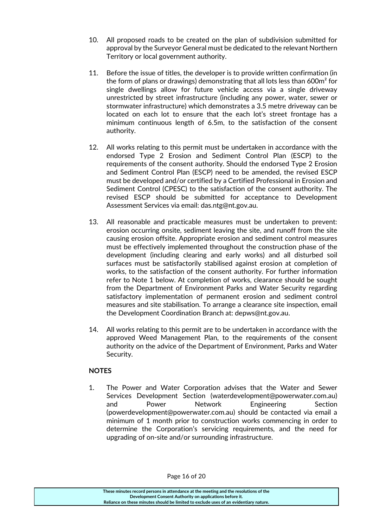- 10. All proposed roads to be created on the plan of subdivision submitted for approval by the Surveyor General must be dedicated to the relevant Northern Territory or local government authority.
- 11. Before the issue of titles, the developer is to provide written confirmation (in the form of plans or drawings) demonstrating that all lots less than 600m² for single dwellings allow for future vehicle access via a single driveway unrestricted by street infrastructure (including any power, water, sewer or stormwater infrastructure) which demonstrates a 3.5 metre driveway can be located on each lot to ensure that the each lot's street frontage has a minimum continuous length of 6.5m, to the satisfaction of the consent authority.
- 12. All works relating to this permit must be undertaken in accordance with the endorsed Type 2 Erosion and Sediment Control Plan (ESCP) to the requirements of the consent authority. Should the endorsed Type 2 Erosion and Sediment Control Plan (ESCP) need to be amended, the revised ESCP must be developed and/or certified by a Certified Professional in Erosion and Sediment Control (CPESC) to the satisfaction of the consent authority. The revised ESCP should be submitted for acceptance to Development Assessment Services via email: [das.ntg@nt.gov.au.](mailto:das.ntg@nt.gov.au)
- 13. All reasonable and practicable measures must be undertaken to prevent: erosion occurring onsite, sediment leaving the site, and runoff from the site causing erosion offsite. Appropriate erosion and sediment control measures must be effectively implemented throughout the construction phase of the development (including clearing and early works) and all disturbed soil surfaces must be satisfactorily stabilised against erosion at completion of works, to the satisfaction of the consent authority. For further information refer to Note 1 below. At completion of works, clearance should be sought from the Department of Environment Parks and Water Security regarding satisfactory implementation of permanent erosion and sediment control measures and site stabilisation. To arrange a clearance site inspection, email the Development Coordination Branch at: [depws@nt.gov.au.](mailto:depws@nt.gov.au)
- 14. All works relating to this permit are to be undertaken in accordance with the approved Weed Management Plan, to the requirements of the consent authority on the advice of the Department of Environment, Parks and Water Security.

#### **NOTES**

1. The Power and Water Corporation advises that the Water and Sewer Services Development Section (waterdevelopment@powerwater.com.au) and Power Network Engineering Section (powerdevelopment@powerwater.com.au) should be contacted via email a minimum of 1 month prior to construction works commencing in order to determine the Corporation's servicing requirements, and the need for upgrading of on-site and/or surrounding infrastructure.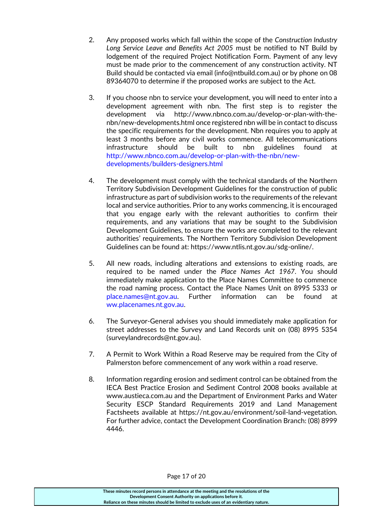- 2. Any proposed works which fall within the scope of the *Construction Industry Long Service Leave and Benefits Act 2005* must be notified to NT Build by lodgement of the required Project Notification Form. Payment of any levy must be made prior to the commencement of any construction activity. NT Build should be contacted via email (info@ntbuild.com.au) or by phone on 08 89364070 to determine if the proposed works are subject to the Act.
- 3. If you choose nbn to service your development, you will need to enter into a development agreement with nbn. The first step is to register the development via http://www.nbnco.com.au/develop-or-plan-with-thenbn/new-developments.html once registered nbn will be in contact to discuss the specific requirements for the development. Nbn requires you to apply at least 3 months before any civil works commence. All telecommunications infrastructure should be built to nbn guidelines found at [http://www.nbnco.com.au/develop-or-plan-with-the-nbn/new](http://www.nbnco.com.au/develop-or-plan-with-the-nbn/new-developments/builders-designers.html)[developments/builders-designers.html](http://www.nbnco.com.au/develop-or-plan-with-the-nbn/new-developments/builders-designers.html)
- 4. The development must comply with the technical standards of the Northern Territory Subdivision Development Guidelines for the construction of public infrastructure as part of subdivision works to the requirements of the relevant local and service authorities. Prior to any works commencing, it is encouraged that you engage early with the relevant authorities to confirm their requirements, and any variations that may be sought to the Subdivision Development Guidelines, to ensure the works are completed to the relevant authorities' requirements. The Northern Territory Subdivision Development Guidelines can be found at: [https://www.ntlis.nt.gov.au/sdg-online/.](https://www.ntlis.nt.gov.au/sdg-online/)
- 5. All new roads, including alterations and extensions to existing roads, are required to be named under the *Place Names Act 1967*. You should immediately make application to the Place Names Committee to commence the road naming process. Contact the Place Names Unit on 8995 5333 or [place.names@nt.gov.au.](mailto:place.names@nt.gov.au) Further information can be found at [ww.placenames.nt.gov.au.](http://www.placenames.nt.gov.au/)
- 6. The Surveyor-General advises you should immediately make application for street addresses to the Survey and Land Records unit on (08) 8995 5354 [\(surveylandrecords@nt.gov.au\)](mailto:surveylandrecords@nt.gov.au).
- 7. A Permit to Work Within a Road Reserve may be required from the City of Palmerston before commencement of any work within a road reserve.
- 8. Information regarding erosion and sediment control can be obtained from the IECA Best Practice Erosion and Sediment Control 2008 books available at www.austieca.com.au and the Department of Environment Parks and Water Security ESCP Standard Requirements 2019 and Land Management Factsheets available at https://nt.gov.au/environment/soil-land-vegetation. For further advice, contact the Development Coordination Branch: (08) 8999 4446.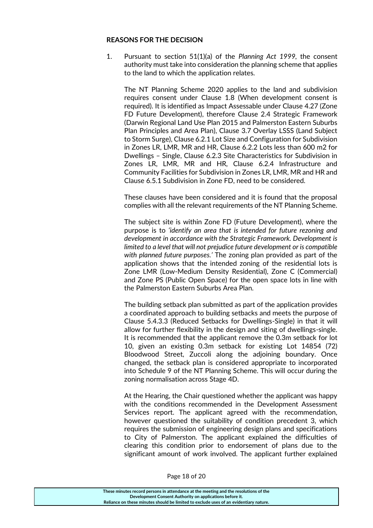#### **REASONS FOR THE DECISION**

1. Pursuant to section 51(1)(a) of the *Planning Act 1999,* the consent authority must take into consideration the planning scheme that applies to the land to which the application relates.

The NT Planning Scheme 2020 applies to the land and subdivision requires consent under Clause 1.8 (When development consent is required). It is identified as Impact Assessable under Clause 4.27 (Zone FD Future Development), therefore Clause 2.4 Strategic Framework (Darwin Regional Land Use Plan 2015 and Palmerston Eastern Suburbs Plan Principles and Area Plan), Clause 3.7 Overlay LSSS (Land Subject to Storm Surge), Clause 6.2.1 Lot Size and Configuration for Subdivision in Zones LR, LMR, MR and HR, Clause 6.2.2 Lots less than 600 m2 for Dwellings – Single, Clause 6.2.3 Site Characteristics for Subdivision in Zones LR, LMR, MR and HR, Clause 6.2.4 Infrastructure and Community Facilities for Subdivision in Zones LR, LMR, MR and HR and Clause 6.5.1 Subdivision in Zone FD, need to be considered.

These clauses have been considered and it is found that the proposal complies with all the relevant requirements of the NT Planning Scheme.

The subject site is within Zone FD (Future Development), where the purpose is to *'identify an area that is intended for future rezoning and development in accordance with the Strategic Framework. Development is limited to a level that will not prejudice future development or is compatible with planned future purposes.'* The zoning plan provided as part of the application shows that the intended zoning of the residential lots is Zone LMR (Low-Medium Density Residential), Zone C (Commercial) and Zone PS (Public Open Space) for the open space lots in line with the Palmerston Eastern Suburbs Area Plan.

The building setback plan submitted as part of the application provides a coordinated approach to building setbacks and meets the purpose of Clause 5.4.3.3 (Reduced Setbacks for Dwellings-Single) in that it will allow for further flexibility in the design and siting of dwellings-single. It is recommended that the applicant remove the 0.3m setback for lot 10, given an existing 0.3m setback for existing Lot 14854 (72) Bloodwood Street, Zuccoli along the adjoining boundary. Once changed, the setback plan is considered appropriate to incorporated into Schedule 9 of the NT Planning Scheme. This will occur during the zoning normalisation across Stage 4D.

At the Hearing, the Chair questioned whether the applicant was happy with the conditions recommended in the Development Assessment Services report. The applicant agreed with the recommendation, however questioned the suitability of condition precedent 3, which requires the submission of engineering design plans and specifications to City of Palmerston. The applicant explained the difficulties of clearing this condition prior to endorsement of plans due to the significant amount of work involved. The applicant further explained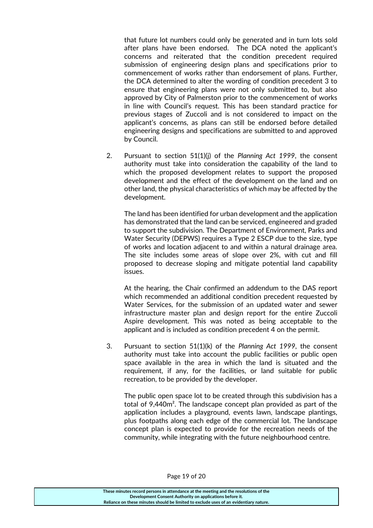that future lot numbers could only be generated and in turn lots sold after plans have been endorsed. The DCA noted the applicant's concerns and reiterated that the condition precedent required submission of engineering design plans and specifications prior to commencement of works rather than endorsement of plans. Further, the DCA determined to alter the wording of condition precedent 3 to ensure that engineering plans were not only submitted to, but also approved by City of Palmerston prior to the commencement of works in line with Council's request. This has been standard practice for previous stages of Zuccoli and is not considered to impact on the applicant's concerns, as plans can still be endorsed before detailed engineering designs and specifications are submitted to and approved by Council.

2. Pursuant to section 51(1)(j) of the *Planning Act 1999*, the consent authority must take into consideration the capability of the land to which the proposed development relates to support the proposed development and the effect of the development on the land and on other land, the physical characteristics of which may be affected by the development.

The land has been identified for urban development and the application has demonstrated that the land can be serviced, engineered and graded to support the subdivision. The Department of Environment, Parks and Water Security (DEPWS) requires a Type 2 ESCP due to the size, type of works and location adjacent to and within a natural drainage area. The site includes some areas of slope over 2%, with cut and fill proposed to decrease sloping and mitigate potential land capability issues.

At the hearing, the Chair confirmed an addendum to the DAS report which recommended an additional condition precedent requested by Water Services, for the submission of an updated water and sewer infrastructure master plan and design report for the entire Zuccoli Aspire development. This was noted as being acceptable to the applicant and is included as condition precedent 4 on the permit.

3. Pursuant to section 51(1)(k) of the *Planning Act 1999*, the consent authority must take into account the public facilities or public open space available in the area in which the land is situated and the requirement, if any, for the facilities, or land suitable for public recreation, to be provided by the developer.

The public open space lot to be created through this subdivision has a total of 9,440m². The landscape concept plan provided as part of the application includes a playground, events lawn, landscape plantings, plus footpaths along each edge of the commercial lot. The landscape concept plan is expected to provide for the recreation needs of the community, while integrating with the future neighbourhood centre.